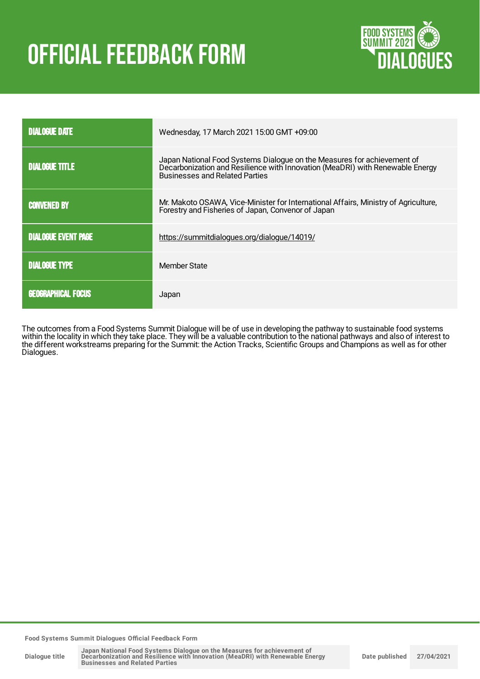# OFFICIAL FEEDBACK FORM



| <b>DIALOGUE DATE</b>       | Wednesday, 17 March 2021 15:00 GMT +09:00                                                                                                                                                         |
|----------------------------|---------------------------------------------------------------------------------------------------------------------------------------------------------------------------------------------------|
| <b>DIALOGUE TITLE</b>      | Japan National Food Systems Dialogue on the Measures for achievement of<br>Decarbonization and Resilience with Innovation (MeaDRI) with Renewable Energy<br><b>Businesses and Related Parties</b> |
| <b>CONVENED BY</b>         | Mr. Makoto OSAWA, Vice-Minister for International Affairs, Ministry of Agriculture,<br>Forestry and Fisheries of Japan, Convenor of Japan                                                         |
| <b>DIALOGUE EVENT PAGE</b> | https://summitdialogues.org/dialogue/14019/                                                                                                                                                       |
| <b>DIALOGUE TYPE</b>       | Member State                                                                                                                                                                                      |
| <b>GEOGRAPHICAL FOCUS</b>  | Japan                                                                                                                                                                                             |

The outcomes from a Food Systems Summit Dialogue will be of use in developing the pathway to sustainable food systems within the locality in which they take place. They will be a valuable contribution to the national pathways and also of interest to the different workstreams preparing for the Summit: the Action Tracks, Scientific Groups and Champions as well as for other Dialogues.

**Food Systems Summit Dialogues Official Feedback Form**

**Dialogue title**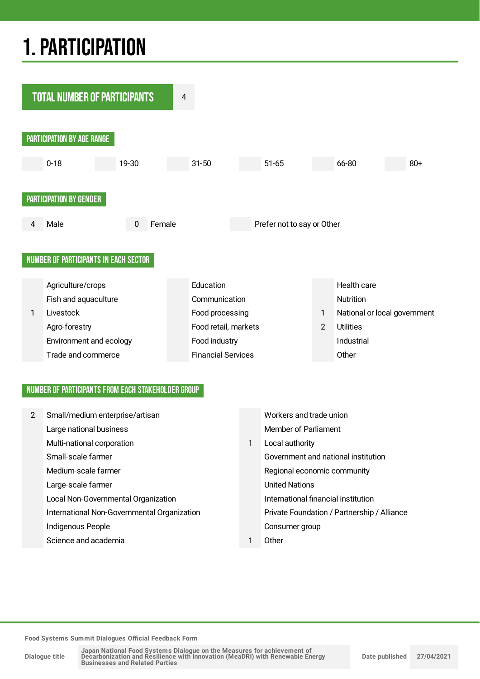## 1.PARTICIPATION



#### NUMBER OF PARTICIPANTS FROM EACH STAKEHOLDER GROUP

| $\mathbf{2}^{\prime}$ | Small/medium enterprise/artisan             |    | Workers and trade union                     |
|-----------------------|---------------------------------------------|----|---------------------------------------------|
|                       | Large national business                     |    | <b>Member of Parliament</b>                 |
|                       | Multi-national corporation                  | 1. | Local authority                             |
|                       | Small-scale farmer                          |    | Government and national institution         |
|                       | Medium-scale farmer                         |    | Regional economic community                 |
|                       | Large-scale farmer                          |    | <b>United Nations</b>                       |
|                       | Local Non-Governmental Organization         |    | International financial institution         |
|                       | International Non-Governmental Organization |    | Private Foundation / Partnership / Alliance |
|                       | Indigenous People                           |    | Consumer group                              |
|                       | Science and academia                        |    | Other                                       |

**Food Systems Summit Dialogues Official Feedback Form**

**Dialogue title**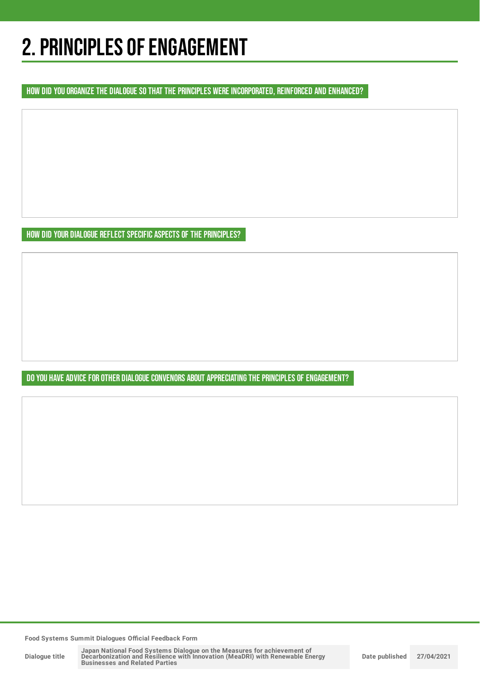## 2. PRINCIPLES OF ENGAGEMENT

HOW DID YOU ORGANIZE THE DIALOGUE SO THAT THE PRINCIPLES WERE INCORPORATED, REINFORCED AND ENHANCED?

HOW DID YOUR DIALOGUE REFLECT SPECIFIC ASPECTS OF THE PRINCIPLES?

DO YOU HAVE ADVICE FOR OTHER DIALOGUE CONVENORS ABOUT APPRECIATING THE PRINCIPLES OF ENGAGEMENT?

**Food Systems Summit Dialogues Official Feedback Form**

**Dialogue title**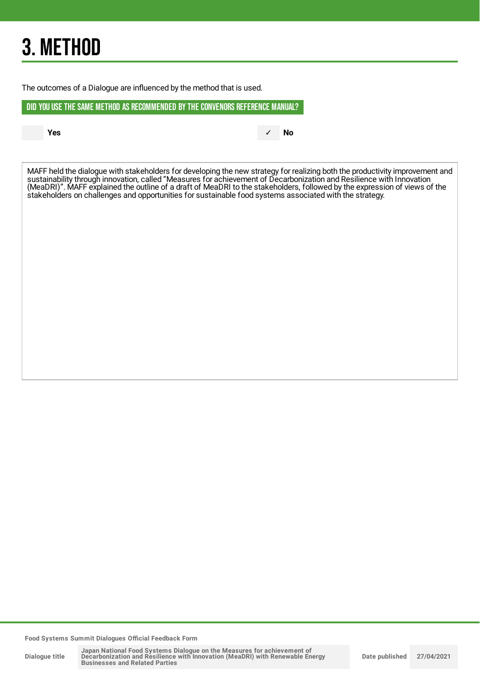## 3. METHOD

The outcomes of a Dialogue are influenced by the method that is used.

DID YOU USE THE SAME METHOD AS RECOMMENDED BYTHE CONVENORS REFERENCE MANUAL?

**Yes** ✓ **No**

MAFF held the dialogue with stakeholders for developing the new strategy for realizing both the productivity improvement and sustainability through innovation, called "Measures for achievement of Decarbonization and Resilience with Innovation (MeaDRI)". MAFF explained the outline of a draft of MeaDRI to the stakeholders, followed by the expression of views of the stakeholders on challenges and opportunities for sustainable food systems associated with the strategy.

**Food Systems Summit Dialogues Official Feedback Form**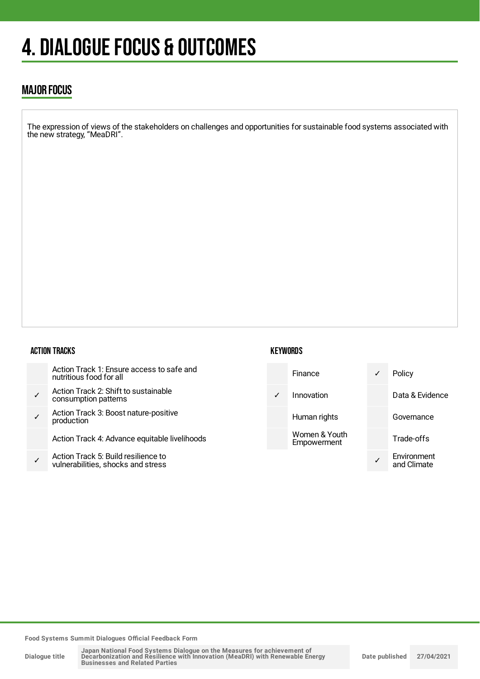## 4. DIALOGUE FOCUS & OUTCOMES

### MAJOR FOCUS

The expression of views of the stakeholders on challenges and opportunities for sustainable food systems associated with the new strategy, "MeaDRI".

#### ACTION TRACKS

|              | Action Track 1: Ensure access to safe and<br>nutritious food for all      |
|--------------|---------------------------------------------------------------------------|
| $\checkmark$ | Action Track 2: Shift to sustainable<br>consumption patterns              |
|              | Action Track 3: Boost nature-positive<br>production                       |
|              | Action Track 4: Advance equitable livelihoods                             |
|              | Action Track 5: Build resilience to<br>vulnerabilities, shocks and stress |

#### **KEYWORDS**



**Food Systems Summit Dialogues Official Feedback Form**

| Dialogue title |  |
|----------------|--|
|                |  |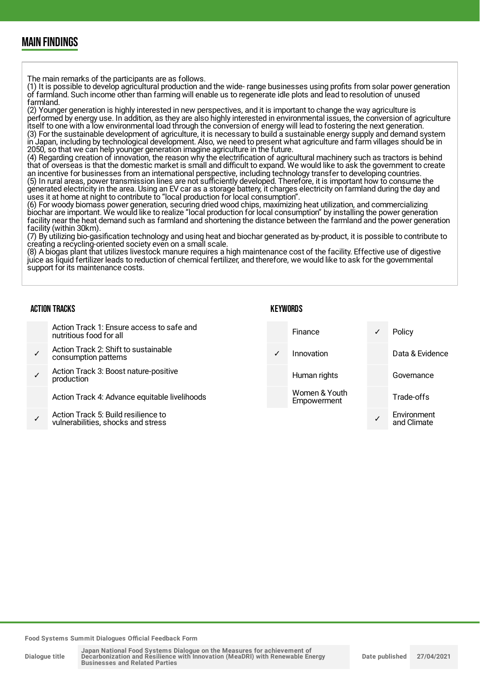### MAIN FINDINGS

The main remarks of the participants are as follows.

(1) It is possible to develop agricultural production and the wide- range businesses using profits from solar power generation of farmland. Such income other than farming will enable us to regenerate idle plots and lead to resolution of unused farmland.

(2) Younger generation is highly interested in new perspectives, and it is important to change the way agriculture is performed by energy use. In addition, as they are also highly interested in environmental issues, the conversion of agriculture itself to one with a low environmental load through the conversion of energy will lead to fostering the next generation. (3) For the sustainable development of agriculture, it is necessary to build a sustainable energy supply and demand system in Japan, including by technological development. Also, we need to present what agriculture and farm villages should be in 2050, so that we can help younger generation imagine agriculture in the future.

(4) Regarding creation of innovation, the reason why the electrification of agricultural machinery such as tractors is behind that of overseas is that the domestic market is small and difficult to expand. We would like to ask the government to create an incentive for businesses from an international perspective, including technology transfer to developing countries. (5) In rural areas, power transmission lines are not sufficiently developed. Therefore, it is important how to consume the generated electricity in the area. Using an EV car as a storage battery, it charges electricity on farmland during the day and uses it at home at night to contribute to "local production for local consumption".

(6) For woody biomass power generation, securing dried wood chips, maximizing heat utilization, and commercializing biochar are important. We would like to realize "local production for local consumption" by installing the power generation facility near the heat demand such as farmland and shortening the distance between the farmland and the power generation facility (within 30km).

(7) By utilizing bio-gasification technology and using heat and biochar generated as by-product, it is possible to contribute to creating a recycling-oriented society even on a small scale.

(8) A biogas plant that utilizes livestock manure requires a high maintenance cost of the facility. Effective use of digestive juice as liquid fertilizer leads to reduction of chemical fertilizer, and therefore, we would like to ask for the governmental support for its maintenance costs.

#### ACTION TRACKS Action Track 1: Ensure access to safe and nutritious food for all ✓ Action Track 2: Shift to sustainable consumption patterns ✓ Action Track 3: Boost nature-positive production Action Track 4: Advance equitable livelihoods ✓ Action Track 5: Build resilience to vulnerabilities, shocks and stress **KEYWORDS** Finance ✓ Policy Innovation Data & Evidence Human rights **Governance** Women & Youth Empowerment Trade-offs ✓ **Environment** and Climate

**Food Systems Summit Dialogues Official Feedback Form**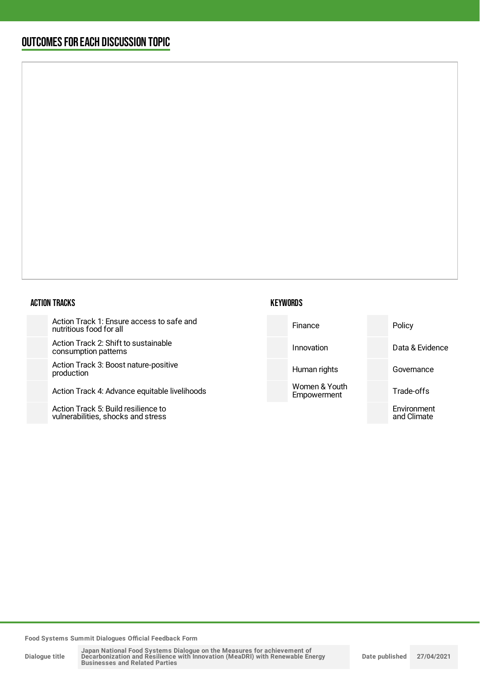### OUTCOMESFOR EACH DISCUSSION TOPIC

#### ACTION TRACKS

Action Track 1: Ensure access to s nutritious food for all

Action Track 2: Shift to sustainable consumption patterns

Action Track 3: Boost nature-positi production

Action Track 4: Advance equitable

Action Track 5: Build resilience to vulnerabilities, shocks and stress

| safe and    | Finance                      | Policy                     |
|-------------|------------------------------|----------------------------|
| e           | Innovation                   | Data & Evidence            |
| ive         | Human rights                 | Governance                 |
| livelihoods | Women & Youth<br>Empowerment | Trade-offs                 |
|             |                              | Environment<br>and Climate |
|             |                              |                            |

**Food Systems Summit Dialogues Official Feedback Form**

**Dialogue title**